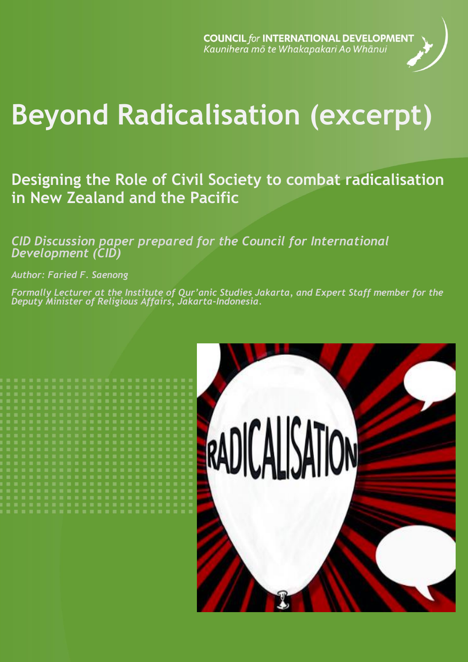**COUNCIL for INTERNATIONAL DEVELOPMENT** Kaunihera mō te Whakapakari Ao Whānui



# **Beyond Radicalisation (excerpt)**

**Designing the Role of Civil Society to combat radicalisation in New Zealand and the Pacific**

*CID Discussion paper prepared for the Council for International Development (CID)*

*Author: Faried F. Saenong*

*Formally Lecturer at the Institute of Qur'anic Studies Jakarta, and Expert Staff member for the Deputy Minister of Religious Affairs, Jakarta-Indonesia.*

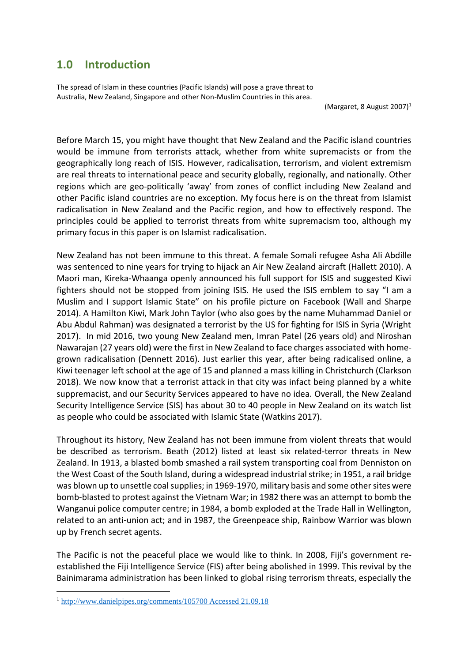# **1.0 Introduction**

The spread of Islam in these countries (Pacific Islands) will pose a grave threat to Australia, New Zealand, Singapore and other Non-Muslim Countries in this area.

(Margaret, 8 August 2007) $<sup>1</sup>$ </sup>

Before March 15, you might have thought that New Zealand and the Pacific island countries would be immune from terrorists attack, whether from white supremacists or from the geographically long reach of ISIS. However, radicalisation, terrorism, and violent extremism are real threats to international peace and security globally, regionally, and nationally. Other regions which are geo-politically 'away' from zones of conflict including New Zealand and other Pacific island countries are no exception. My focus here is on the threat from Islamist radicalisation in New Zealand and the Pacific region, and how to effectively respond. The principles could be applied to terrorist threats from white supremacism too, although my primary focus in this paper is on Islamist radicalisation.

New Zealand has not been immune to this threat. A female Somali refugee Asha Ali Abdille was sentenced to nine years for trying to hijack an Air New Zealand aircraft (Hallett 2010). A Maori man, Kireka-Whaanga openly announced his full support for ISIS and suggested Kiwi fighters should not be stopped from joining ISIS. He used the ISIS emblem to say "I am a Muslim and I support Islamic State" on his profile picture on Facebook (Wall and Sharpe 2014). A Hamilton Kiwi, Mark John Taylor (who also goes by the name Muhammad Daniel or Abu Abdul Rahman) was designated a terrorist by the US for fighting for ISIS in Syria (Wright 2017). In mid 2016, two young New Zealand men, Imran Patel (26 years old) and Niroshan Nawarajan (27 years old) were the first in New Zealand to face charges associated with homegrown radicalisation (Dennett 2016). Just earlier this year, after being radicalised online, a Kiwi teenager left school at the age of 15 and planned a mass killing in Christchurch (Clarkson 2018). We now know that a terrorist attack in that city was infact being planned by a white suppremacist, and our Security Services appeared to have no idea. Overall, the New Zealand Security Intelligence Service (SIS) has about 30 to 40 people in New Zealand on its watch list as people who could be associated with Islamic State (Watkins 2017).

Throughout its history, New Zealand has not been immune from violent threats that would be described as terrorism. Beath (2012) listed at least six related-terror threats in New Zealand. In 1913, a blasted bomb smashed a rail system transporting coal from Denniston on the West Coast of the South Island, during a widespread industrial strike; in 1951, a rail bridge was blown up to unsettle coal supplies; in 1969-1970, military basis and some other sites were bomb-blasted to protest against the Vietnam War; in 1982 there was an attempt to bomb the Wanganui police computer centre; in 1984, a bomb exploded at the Trade Hall in Wellington, related to an anti-union act; and in 1987, the Greenpeace ship, Rainbow Warrior was blown up by French secret agents.

The Pacific is not the peaceful place we would like to think. In 2008, Fiji's government reestablished the Fiji Intelligence Service (FIS) after being abolished in 1999. This revival by the Bainimarama administration has been linked to global rising terrorism threats, especially the

l

<sup>1</sup> [http://www.danielpipes.org/comments/105700 Accessed 21.09.18](http://www.danielpipes.org/comments/105700%20Accessed%2021.09.18)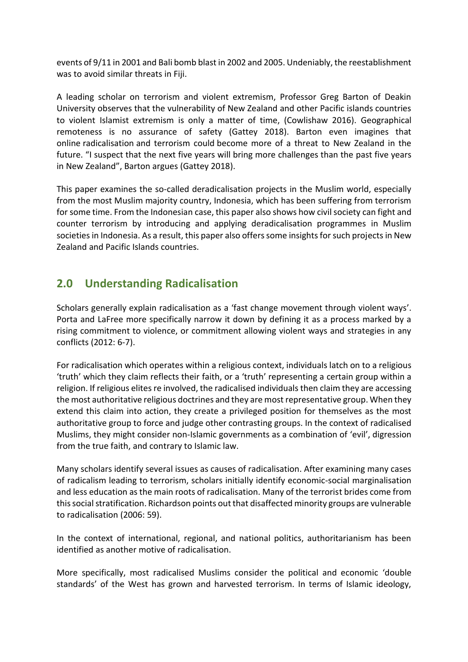events of 9/11 in 2001 and Bali bomb blast in 2002 and 2005. Undeniably, the reestablishment was to avoid similar threats in Fiji.

A leading scholar on terrorism and violent extremism, Professor Greg Barton of Deakin University observes that the vulnerability of New Zealand and other Pacific islands countries to violent Islamist extremism is only a matter of time, (Cowlishaw 2016). Geographical remoteness is no assurance of safety (Gattey 2018). Barton even imagines that online radicalisation and terrorism could become more of a threat to New Zealand in the future. "I suspect that the next five years will bring more challenges than the past five years in New Zealand", Barton argues (Gattey 2018).

This paper examines the so-called deradicalisation projects in the Muslim world, especially from the most Muslim majority country, Indonesia, which has been suffering from terrorism for some time. From the Indonesian case, this paper also shows how civil society can fight and counter terrorism by introducing and applying deradicalisation programmes in Muslim societies in Indonesia. As a result, this paper also offers some insights for such projects in New Zealand and Pacific Islands countries.

# **2.0 Understanding Radicalisation**

Scholars generally explain radicalisation as a 'fast change movement through violent ways'. Porta and LaFree more specifically narrow it down by defining it as a process marked by a rising commitment to violence, or commitment allowing violent ways and strategies in any conflicts (2012: 6-7).

For radicalisation which operates within a religious context, individuals latch on to a religious 'truth' which they claim reflects their faith, or a 'truth' representing a certain group within a religion. If religious elites re involved, the radicalised individuals then claim they are accessing the most authoritative religious doctrines and they are most representative group. When they extend this claim into action, they create a privileged position for themselves as the most authoritative group to force and judge other contrasting groups. In the context of radicalised Muslims, they might consider non-Islamic governments as a combination of 'evil', digression from the true faith, and contrary to Islamic law.

Many scholars identify several issues as causes of radicalisation. After examining many cases of radicalism leading to terrorism, scholars initially identify economic-social marginalisation and less education as the main roots of radicalisation. Many of the terrorist brides come from this social stratification. Richardson points out that disaffected minority groups are vulnerable to radicalisation (2006: 59).

In the context of international, regional, and national politics, authoritarianism has been identified as another motive of radicalisation.

More specifically, most radicalised Muslims consider the political and economic 'double standards' of the West has grown and harvested terrorism. In terms of Islamic ideology,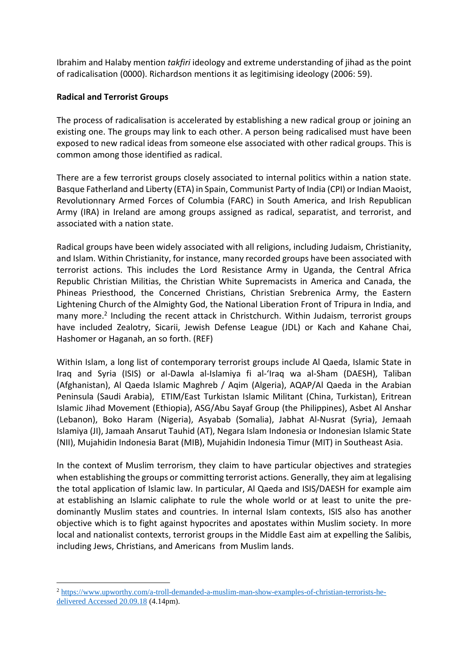Ibrahim and Halaby mention *takfiri* ideology and extreme understanding of jihad as the point of radicalisation (0000). Richardson mentions it as legitimising ideology (2006: 59).

## **Radical and Terrorist Groups**

 $\overline{a}$ 

The process of radicalisation is accelerated by establishing a new radical group or joining an existing one. The groups may link to each other. A person being radicalised must have been exposed to new radical ideas from someone else associated with other radical groups. This is common among those identified as radical.

There are a few terrorist groups closely associated to internal politics within a nation state. Basque Fatherland and Liberty (ETA) in Spain, Communist Party of India (CPI) or Indian Maoist, Revolutionnary Armed Forces of Columbia (FARC) in South America, and Irish Republican Army (IRA) in Ireland are among groups assigned as radical, separatist, and terrorist, and associated with a nation state.

Radical groups have been widely associated with all religions, including Judaism, Christianity, and Islam. Within Christianity, for instance, many recorded groups have been associated with terrorist actions. This includes the Lord Resistance Army in Uganda, the Central Africa Republic Christian Militias, the Christian White Supremacists in America and Canada, the Phineas Priesthood, the Concerned Christians, Christian Srebrenica Army, the Eastern Lightening Church of the Almighty God, the National Liberation Front of Tripura in India, and many more.<sup>2</sup> Including the recent attack in Christchurch. Within Judaism, terrorist groups have included Zealotry, Sicarii, Jewish Defense League (JDL) or Kach and Kahane Chai, Hashomer or Haganah, an so forth. (REF)

Within Islam, a long list of contemporary terrorist groups include Al Qaeda, Islamic State in Iraq and Syria (ISIS) or al-Dawla al-Islamiya fi al-'Iraq wa al-Sham (DAESH), Taliban (Afghanistan), Al Qaeda Islamic Maghreb / Aqim (Algeria), AQAP/Al Qaeda in the Arabian Peninsula (Saudi Arabia), ETIM/East Turkistan Islamic Militant (China, Turkistan), Eritrean Islamic Jihad Movement (Ethiopia), ASG/Abu Sayaf Group (the Philippines), Asbet Al Anshar (Lebanon), Boko Haram (Nigeria), Asyabab (Somalia), Jabhat Al-Nusrat (Syria), Jemaah Islamiya (JI), Jamaah Ansarut Tauhid (AT), Negara Islam Indonesia or Indonesian Islamic State (NII), Mujahidin Indonesia Barat (MIB), Mujahidin Indonesia Timur (MIT) in Southeast Asia.

In the context of Muslim terrorism, they claim to have particular objectives and strategies when establishing the groups or committing terrorist actions. Generally, they aim at legalising the total application of Islamic law. In particular, Al Qaeda and ISIS/DAESH for example aim at establishing an Islamic caliphate to rule the whole world or at least to unite the predominantly Muslim states and countries. In internal Islam contexts, ISIS also has another objective which is to fight against hypocrites and apostates within Muslim society. In more local and nationalist contexts, terrorist groups in the Middle East aim at expelling the Salibis, including Jews, Christians, and Americans from Muslim lands.

<sup>2</sup> [https://www.upworthy.com/a-troll-demanded-a-muslim-man-show-examples-of-christian-terrorists-he](https://www.upworthy.com/a-troll-demanded-a-muslim-man-show-examples-of-christian-terrorists-he-delivered%20Accessed%2020.09.18)[delivered Accessed](https://www.upworthy.com/a-troll-demanded-a-muslim-man-show-examples-of-christian-terrorists-he-delivered%20Accessed%2020.09.18) 20.09.18 (4.14pm).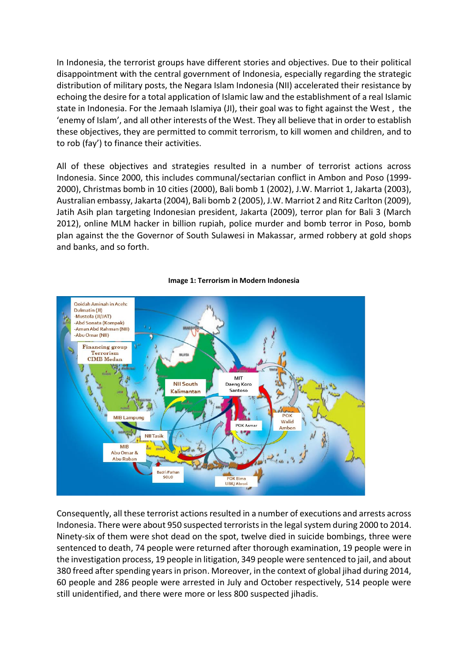In Indonesia, the terrorist groups have different stories and objectives. Due to their political disappointment with the central government of Indonesia, especially regarding the strategic distribution of military posts, the Negara Islam Indonesia (NII) accelerated their resistance by echoing the desire for a total application of Islamic law and the establishment of a real Islamic state in Indonesia. For the Jemaah Islamiya (JI), their goal was to fight against the West , the 'enemy of Islam', and all other interests of the West. They all believe that in order to establish these objectives, they are permitted to commit terrorism, to kill women and children, and to to rob (fay') to finance their activities.

All of these objectives and strategies resulted in a number of terrorist actions across Indonesia. Since 2000, this includes communal/sectarian conflict in Ambon and Poso (1999- 2000), Christmas bomb in 10 cities (2000), Bali bomb 1 (2002), J.W. Marriot 1, Jakarta (2003), Australian embassy, Jakarta (2004), Bali bomb 2 (2005), J.W. Marriot 2 and Ritz Carlton (2009), Jatih Asih plan targeting Indonesian president, Jakarta (2009), terror plan for Bali 3 (March 2012), online MLM hacker in billion rupiah, police murder and bomb terror in Poso, bomb plan against the the Governor of South Sulawesi in Makassar, armed robbery at gold shops and banks, and so forth.



#### **Image 1: Terrorism in Modern Indonesia**

Consequently, all these terrorist actions resulted in a number of executions and arrests across Indonesia. There were about 950 suspected terrorists in the legal system during 2000 to 2014. Ninety-six of them were shot dead on the spot, twelve died in suicide bombings, three were sentenced to death, 74 people were returned after thorough examination, 19 people were in the investigation process, 19 people in litigation, 349 people were sentenced to jail, and about 380 freed after spending years in prison. Moreover, in the context of global jihad during 2014, 60 people and 286 people were arrested in July and October respectively, 514 people were still unidentified, and there were more or less 800 suspected jihadis.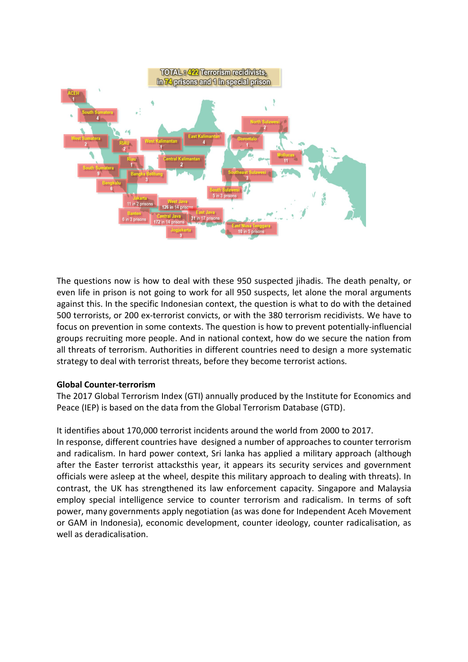

The questions now is how to deal with these 950 suspected jihadis. The death penalty, or even life in prison is not going to work for all 950 suspects, let alone the moral arguments against this. In the specific Indonesian context, the question is what to do with the detained 500 terrorists, or 200 ex-terrorist convicts, or with the 380 terrorism recidivists. We have to focus on prevention in some contexts. The question is how to prevent potentially-influencial groups recruiting more people. And in national context, how do we secure the nation from all threats of terrorism. Authorities in different countries need to design a more systematic strategy to deal with terrorist threats, before they become terrorist actions.

#### **Global Counter-terrorism**

The 2017 Global Terrorism Index (GTI) annually produced by the Institute for Economics and Peace (IEP) is based on the data from the Global Terrorism Database (GTD).

#### It identifies about 170,000 terrorist incidents around the world from 2000 to 2017.

In response, different countries have designed a number of approaches to counter terrorism and radicalism. In hard power context, Sri lanka has applied a military approach (although after the Easter terrorist attacksthis year, it appears its security services and government officials were asleep at the wheel, despite this military approach to dealing with threats). In contrast, the UK has strengthened its law enforcement capacity. Singapore and Malaysia employ special intelligence service to counter terrorism and radicalism. In terms of soft power, many governments apply negotiation (as was done for Independent Aceh Movement or GAM in Indonesia), economic development, counter ideology, counter radicalisation, as well as deradicalisation.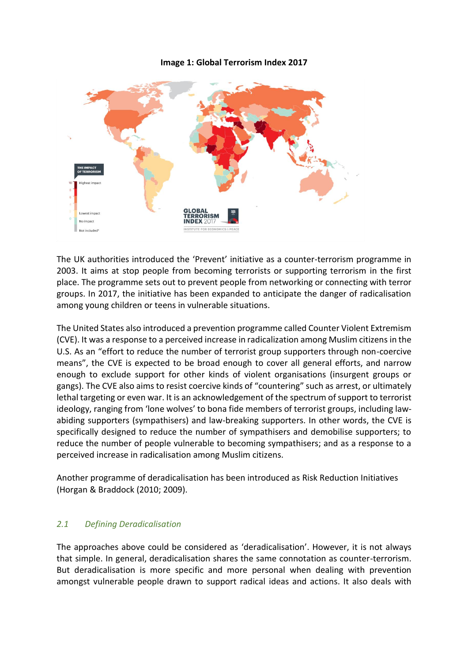## **Image 1: Global Terrorism Index 2017**



The UK authorities introduced the 'Prevent' initiative as a counter-terrorism programme in 2003. It aims at stop people from becoming terrorists or supporting terrorism in the first place. The programme sets out to prevent people from networking or connecting with terror groups. In 2017, the initiative has been expanded to anticipate the danger of radicalisation among young children or teens in vulnerable situations.

The United States also introduced a prevention programme called Counter Violent Extremism (CVE). It was a response to a perceived increase in radicalization among Muslim citizens in the U.S. As an "effort to reduce the number of terrorist group supporters through non-coercive means", the CVE is expected to be broad enough to cover all general efforts, and narrow enough to exclude support for other kinds of violent organisations (insurgent groups or gangs). The CVE also aims to resist coercive kinds of "countering" such as arrest, or ultimately lethal targeting or even war. It is an acknowledgement of the spectrum of support to terrorist ideology, ranging from 'lone wolves' to bona fide members of terrorist groups, including lawabiding supporters (sympathisers) and law-breaking supporters. In other words, the CVE is specifically designed to reduce the number of sympathisers and demobilise supporters; to reduce the number of people vulnerable to becoming sympathisers; and as a response to a perceived increase in radicalisation among Muslim citizens.

Another programme of deradicalisation has been introduced as Risk Reduction Initiatives (Horgan & Braddock (2010; 2009).

# *2.1 Defining Deradicalisation*

The approaches above could be considered as 'deradicalisation'. However, it is not always that simple. In general, deradicalisation shares the same connotation as counter-terrorism. But deradicalisation is more specific and more personal when dealing with prevention amongst vulnerable people drawn to support radical ideas and actions. It also deals with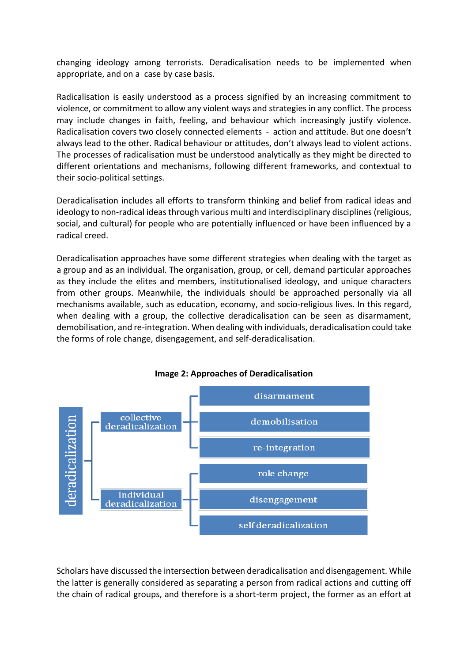changing ideology among terrorists. Deradicalisation needs to be implemented when appropriate, and on a case by case basis.

Radicalisation is easily understood as a process signified by an increasing commitment to violence, or commitment to allow any violent ways and strategies in any conflict. The process may include changes in faith, feeling, and behaviour which increasingly justify violence. Radicalisation covers two closely connected elements - action and attitude. But one doesn't always lead to the other. Radical behaviour or attitudes, don't always lead to violent actions. The processes of radicalisation must be understood analytically as they might be directed to different orientations and mechanisms, following different frameworks, and contextual to their socio-political settings.

Deradicalisation includes all efforts to transform thinking and belief from radical ideas and ideology to non-radical ideas through various multi and interdisciplinary disciplines (religious, social, and cultural) for people who are potentially influenced or have been influenced by a radical creed.

Deradicalisation approaches have some different strategies when dealing with the target as a group and as an individual. The organisation, group, or cell, demand particular approaches as they include the elites and members, institutionalised ideology, and unique characters from other groups. Meanwhile, the individuals should be approached personally via all mechanisms available, such as education, economy, and socio-religious lives. In this regard, when dealing with a group, the collective deradicalisation can be seen as disarmament, demobilisation, and re-integration. When dealing with individuals, deradicalisation could take the forms of role change, disengagement, and self-deradicalisation.



#### **Image 2: Approaches of Deradicalisation**

Scholars have discussed the intersection between deradicalisation and disengagement. While the latter is generally considered as separating a person from radical actions and cutting off the chain of radical groups, and therefore is a short-term project, the former as an effort at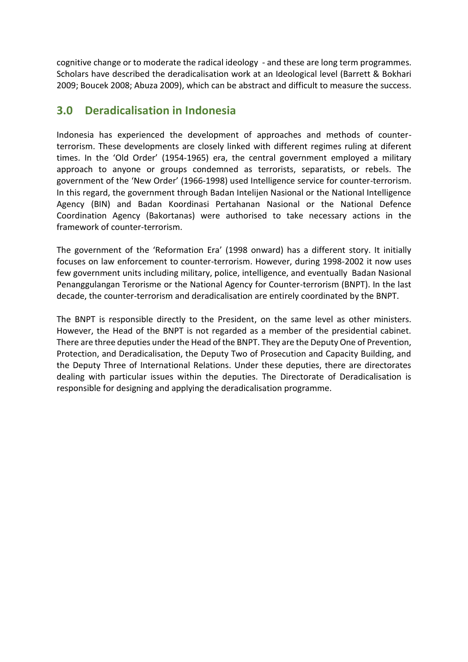cognitive change or to moderate the radical ideology - and these are long term programmes. Scholars have described the deradicalisation work at an Ideological level (Barrett & Bokhari 2009; Boucek 2008; Abuza 2009), which can be abstract and difficult to measure the success.

# **3.0 Deradicalisation in Indonesia**

Indonesia has experienced the development of approaches and methods of counterterrorism. These developments are closely linked with different regimes ruling at diferent times. In the 'Old Order' (1954-1965) era, the central government employed a military approach to anyone or groups condemned as terrorists, separatists, or rebels. The government of the 'New Order' (1966-1998) used Intelligence service for counter-terrorism. In this regard, the government through Badan Intelijen Nasional or the National Intelligence Agency (BIN) and Badan Koordinasi Pertahanan Nasional or the National Defence Coordination Agency (Bakortanas) were authorised to take necessary actions in the framework of counter-terrorism.

The government of the 'Reformation Era' (1998 onward) has a different story. It initially focuses on law enforcement to counter-terrorism. However, during 1998-2002 it now uses few government units including military, police, intelligence, and eventually Badan Nasional Penanggulangan Terorisme or the National Agency for Counter-terrorism (BNPT). In the last decade, the counter-terrorism and deradicalisation are entirely coordinated by the BNPT.

The BNPT is responsible directly to the President, on the same level as other ministers. However, the Head of the BNPT is not regarded as a member of the presidential cabinet. There are three deputies under the Head of the BNPT. They are the Deputy One of Prevention, Protection, and Deradicalisation, the Deputy Two of Prosecution and Capacity Building, and the Deputy Three of International Relations. Under these deputies, there are directorates dealing with particular issues within the deputies. The Directorate of Deradicalisation is responsible for designing and applying the deradicalisation programme.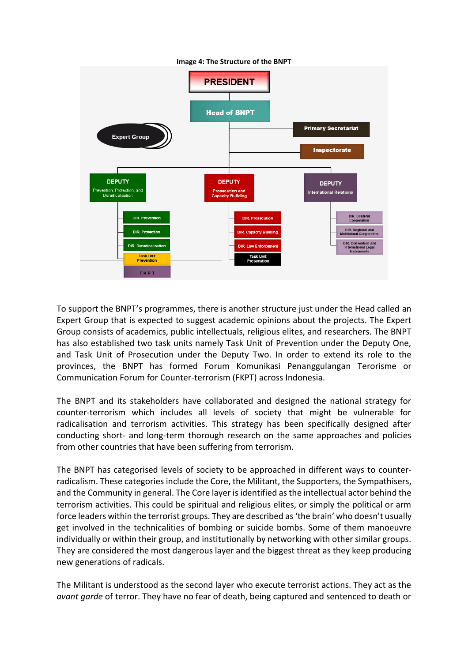

To support the BNPT's programmes, there is another structure just under the Head called an Expert Group that is expected to suggest academic opinions about the projects. The Expert Group consists of academics, public intellectuals, religious elites, and researchers. The BNPT has also established two task units namely Task Unit of Prevention under the Deputy One, and Task Unit of Prosecution under the Deputy Two. In order to extend its role to the provinces, the BNPT has formed Forum Komunikasi Penanggulangan Terorisme or Communication Forum for Counter-terrorism (FKPT) across Indonesia.

The BNPT and its stakeholders have collaborated and designed the national strategy for counter-terrorism which includes all levels of society that might be vulnerable for radicalisation and terrorism activities. This strategy has been specifically designed after conducting short- and long-term thorough research on the same approaches and policies from other countries that have been suffering from terrorism.

The BNPT has categorised levels of society to be approached in different ways to counterradicalism. These categories include the Core, the Militant, the Supporters, the Sympathisers, and the Community in general. The Core layer is identified as the intellectual actor behind the terrorism activities. This could be spiritual and religious elites, or simply the political or arm force leaders within the terrorist groups. They are described as 'the brain' who doesn't usually get involved in the technicalities of bombing or suicide bombs. Some of them manoeuvre individually or within their group, and institutionally by networking with other similar groups. They are considered the most dangerous layer and the biggest threat as they keep producing new generations of radicals.

The Militant is understood as the second layer who execute terrorist actions. They act as the *avant garde* of terror. They have no fear of death, being captured and sentenced to death or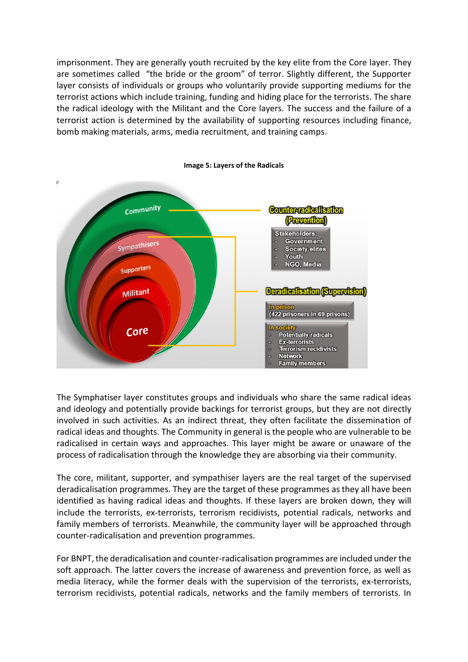imprisonment. They are generally youth recruited by the key elite from the Core layer. They are sometimes called "the bride or the groom" of terror. Slightly different, the Supporter layer consists of individuals or groups who voluntarily provide supporting mediums for the terrorist actions which include training, funding and hiding place for the terrorists. The share the radical ideology with the Militant and the Core layers. The success and the failure of a terrorist action is determined by the availability of supporting resources including finance, bomb making materials, arms, media recruitment, and training camps.



The Symphatiser layer constitutes groups and individuals who share the same radical ideas and ideology and potentially provide backings for terrorist groups, but they are not directly involved in such activities. As an indirect threat, they often facilitate the dissemination of radical ideas and thoughts. The Community in general is the people who are vulnerable to be radicalised in certain ways and approaches. This layer might be aware or unaware of the process of radicalisation through the knowledge they are absorbing via their community.

The core, militant, supporter, and sympathiser layers are the real target of the supervised deradicalisation programmes. They are the target of these programmes as they all have been identified as having radical ideas and thoughts. If these layers are broken down, they will include the terrorists, ex-terrorists, terrorism recidivists, potential radicals, networks and family members of terrorists. Meanwhile, the community layer will be approached through counter-radicalisation and prevention programmes.

For BNPT, the deradicalisation and counter-radicalisation programmes are included under the soft approach. The latter covers the increase of awareness and prevention force, as well as media literacy, while the former deals with the supervision of the terrorists, ex-terrorists, terrorism recidivists, potential radicals, networks and the family members of terrorists. In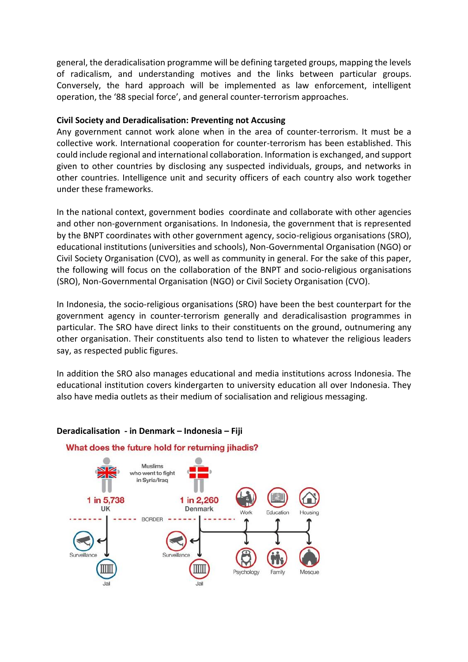general, the deradicalisation programme will be defining targeted groups, mapping the levels of radicalism, and understanding motives and the links between particular groups. Conversely, the hard approach will be implemented as law enforcement, intelligent operation, the '88 special force', and general counter-terrorism approaches.

#### **Civil Society and Deradicalisation: Preventing not Accusing**

Any government cannot work alone when in the area of counter-terrorism. It must be a collective work. International cooperation for counter-terrorism has been established. This could include regional and international collaboration. Information is exchanged, and support given to other countries by disclosing any suspected individuals, groups, and networks in other countries. Intelligence unit and security officers of each country also work together under these frameworks.

In the national context, government bodies coordinate and collaborate with other agencies and other non-government organisations. In Indonesia, the government that is represented by the BNPT coordinates with other government agency, socio-religious organisations (SRO), educational institutions (universities and schools), Non-Governmental Organisation (NGO) or Civil Society Organisation (CVO), as well as community in general. For the sake of this paper, the following will focus on the collaboration of the BNPT and socio-religious organisations (SRO), Non-Governmental Organisation (NGO) or Civil Society Organisation (CVO).

In Indonesia, the socio-religious organisations (SRO) have been the best counterpart for the government agency in counter-terrorism generally and deradicalisastion programmes in particular. The SRO have direct links to their constituents on the ground, outnumering any other organisation. Their constituents also tend to listen to whatever the religious leaders say, as respected public figures.

In addition the SRO also manages educational and media institutions across Indonesia. The educational institution covers kindergarten to university education all over Indonesia. They also have media outlets as their medium of socialisation and religious messaging.



#### **Deradicalisation - in Denmark – Indonesia – Fiji**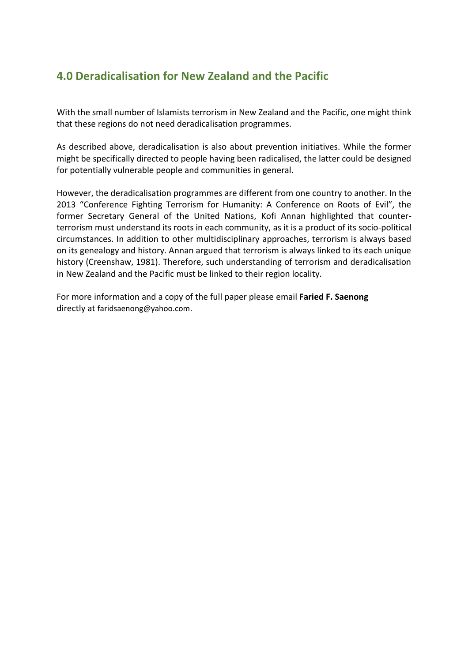# **4.0 Deradicalisation for New Zealand and the Pacific**

With the small number of Islamists terrorism in New Zealand and the Pacific, one might think that these regions do not need deradicalisation programmes.

As described above, deradicalisation is also about prevention initiatives. While the former might be specifically directed to people having been radicalised, the latter could be designed for potentially vulnerable people and communities in general.

However, the deradicalisation programmes are different from one country to another. In the 2013 "Conference Fighting Terrorism for Humanity: A Conference on Roots of Evil", the former Secretary General of the United Nations, Kofi Annan highlighted that counterterrorism must understand its roots in each community, as it is a product of its socio-political circumstances. In addition to other multidisciplinary approaches, terrorism is always based on its genealogy and history. Annan argued that terrorism is always linked to its each unique history (Creenshaw, 1981). Therefore, such understanding of terrorism and deradicalisation in New Zealand and the Pacific must be linked to their region locality.

For more information and a copy of the full paper please email **Faried F. Saenong** directly at faridsaenong@yahoo.com.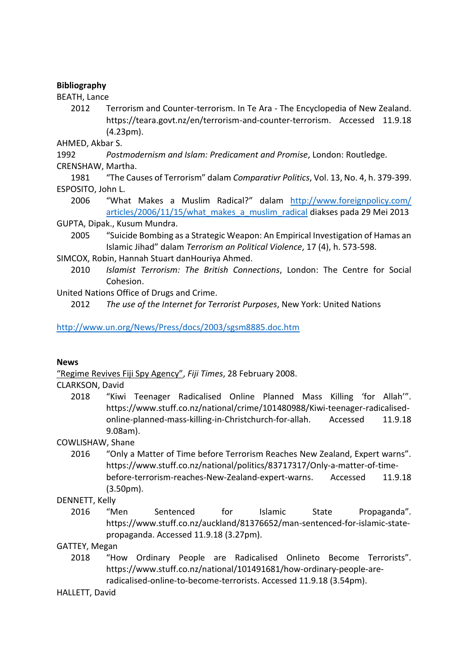## **Bibliography**

BEATH, Lance

2012 Terrorism and Counter-terrorism. In Te Ara - The Encyclopedia of New Zealand. https://teara.govt.nz/en/terrorism-and-counter-terrorism. Accessed 11.9.18 (4.23pm).

AHMED, Akbar S.

1992 *Postmodernism and Islam: Predicament and Promise*, London: Routledge.

CRENSHAW, Martha.

1981 "The Causes of Terrorism" dalam *Comparativr Politics*, Vol. 13, No. 4, h. 379-399. ESPOSITO, John L.

2006 "What Makes a Muslim Radical?" dalam [http://www.foreignpolicy.com/](http://www.foreignpolicy.com/%20articles/2006/11/15/what_makes_a_muslim_radical)  [articles/2006/11/15/what\\_makes\\_a\\_muslim\\_radical](http://www.foreignpolicy.com/%20articles/2006/11/15/what_makes_a_muslim_radical) diakses pada 29 Mei 2013

GUPTA, Dipak., Kusum Mundra.

- 2005 "Suicide Bombing as a Strategic Weapon: An Empirical Investigation of Hamas an Islamic Jihad" dalam *Terrorism an Political Violence*, 17 (4), h. 573-598.
- SIMCOX, Robin, Hannah Stuart danHouriya Ahmed.
	- 2010 *Islamist Terrorism: The British Connections*, London: The Centre for Social Cohesion.

United Nations Office of Drugs and Crime.

2012 *The use of the Internet for Terrorist Purposes*, New York: United Nations

# <http://www.un.org/News/Press/docs/2003/sgsm8885.doc.htm>

# **News**

["Regime Revives Fiji Spy Agency"](http://www.fijitimes.com/story.aspx?id=82492), *Fiji Times*, 28 February 2008.

# CLARKSON, David

2018 "Kiwi Teenager Radicalised Online Planned Mass Killing 'for Allah'". https://www.stuff.co.nz/national/crime/101480988/Kiwi-teenager-radicalisedonline-planned-mass-killing-in-Christchurch-for-allah. Accessed 11.9.18 9.08am).

# COWLISHAW, Shane

2016 "Only a Matter of Time before Terrorism Reaches New Zealand, Expert warns". https://www.stuff.co.nz/national/politics/83717317/Only-a-matter-of-timebefore-terrorism-reaches-New-Zealand-expert-warns. Accessed 11.9.18 (3.50pm).

# DENNETT, Kelly

2016 "Men Sentenced for Islamic State Propaganda". https://www.stuff.co.nz/auckland/81376652/man-sentenced-for-islamic-statepropaganda. Accessed 11.9.18 (3.27pm).

GATTEY, Megan

2018 "How Ordinary People are Radicalised Onlineto Become Terrorists". https://www.stuff.co.nz/national/101491681/how-ordinary-people-areradicalised-online-to-become-terrorists. Accessed 11.9.18 (3.54pm).

# HALLETT, David